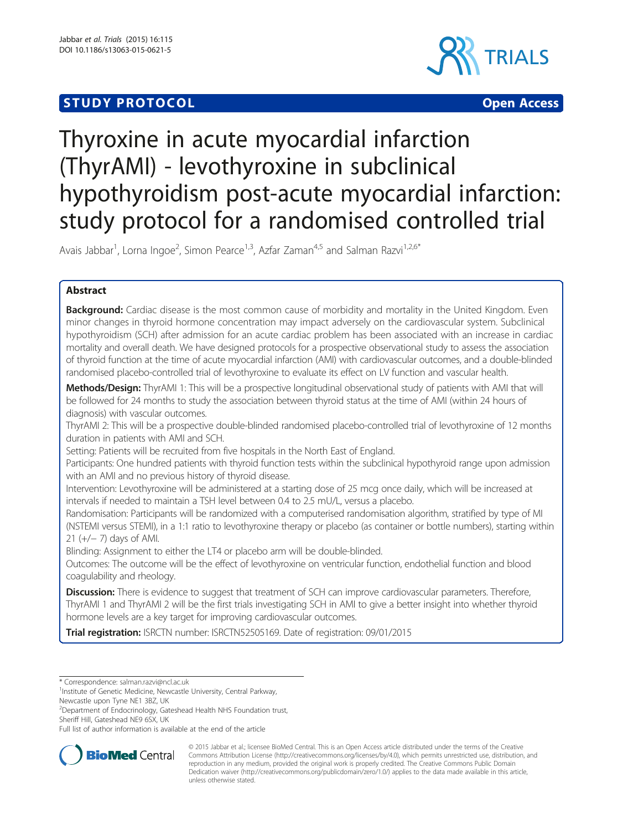# **STUDY PROTOCOL CONSUMING THE CONSUMING OPEN ACCESS**





# Thyroxine in acute myocardial infarction (ThyrAMI) - levothyroxine in subclinical hypothyroidism post-acute myocardial infarction: study protocol for a randomised controlled trial

Avais Jabbar<sup>1</sup>, Lorna Ingoe<sup>2</sup>, Simon Pearce<sup>1,3</sup>, Azfar Zaman<sup>4,5</sup> and Salman Razvi<sup>1,2,6\*</sup>

# Abstract

**Background:** Cardiac disease is the most common cause of morbidity and mortality in the United Kingdom. Even minor changes in thyroid hormone concentration may impact adversely on the cardiovascular system. Subclinical hypothyroidism (SCH) after admission for an acute cardiac problem has been associated with an increase in cardiac mortality and overall death. We have designed protocols for a prospective observational study to assess the association of thyroid function at the time of acute myocardial infarction (AMI) with cardiovascular outcomes, and a double-blinded randomised placebo-controlled trial of levothyroxine to evaluate its effect on LV function and vascular health.

Methods/Design: ThyrAMI 1: This will be a prospective longitudinal observational study of patients with AMI that will be followed for 24 months to study the association between thyroid status at the time of AMI (within 24 hours of diagnosis) with vascular outcomes.

ThyrAMI 2: This will be a prospective double-blinded randomised placebo-controlled trial of levothyroxine of 12 months duration in patients with AMI and SCH.

Setting: Patients will be recruited from five hospitals in the North East of England.

Participants: One hundred patients with thyroid function tests within the subclinical hypothyroid range upon admission with an AMI and no previous history of thyroid disease.

Intervention: Levothyroxine will be administered at a starting dose of 25 mcg once daily, which will be increased at intervals if needed to maintain a TSH level between 0.4 to 2.5 mU/L, versus a placebo.

Randomisation: Participants will be randomized with a computerised randomisation algorithm, stratified by type of MI (NSTEMI versus STEMI), in a 1:1 ratio to levothyroxine therapy or placebo (as container or bottle numbers), starting within 21 (+/− 7) days of AMI.

Blinding: Assignment to either the LT4 or placebo arm will be double-blinded.

Outcomes: The outcome will be the effect of levothyroxine on ventricular function, endothelial function and blood coagulability and rheology.

**Discussion:** There is evidence to suggest that treatment of SCH can improve cardiovascular parameters. Therefore, ThyrAMI 1 and ThyrAMI 2 will be the first trials investigating SCH in AMI to give a better insight into whether thyroid hormone levels are a key target for improving cardiovascular outcomes.

Trial registration: ISRCTN number: [ISRCTN52505169.](http://www.controlled-trials.com/ISRCTN52505169) Date of registration: 09/01/2015

Newcastle upon Tyne NE1 3BZ, UK

2 Department of Endocrinology, Gateshead Health NHS Foundation trust, Sheriff Hill, Gateshead NE9 6SX, UK

Full list of author information is available at the end of the article



© 2015 Jabbar et al.; licensee BioMed Central. This is an Open Access article distributed under the terms of the Creative Commons Attribution License [\(http://creativecommons.org/licenses/by/4.0\)](http://creativecommons.org/licenses/by/4.0), which permits unrestricted use, distribution, and reproduction in any medium, provided the original work is properly credited. The Creative Commons Public Domain Dedication waiver [\(http://creativecommons.org/publicdomain/zero/1.0/](http://creativecommons.org/publicdomain/zero/1.0/)) applies to the data made available in this article, unless otherwise stated.

<sup>\*</sup> Correspondence: [salman.razvi@ncl.ac.uk](mailto:salman.razvi@ncl.ac.uk) <sup>1</sup>

<sup>&</sup>lt;sup>1</sup> Institute of Genetic Medicine, Newcastle University, Central Parkway,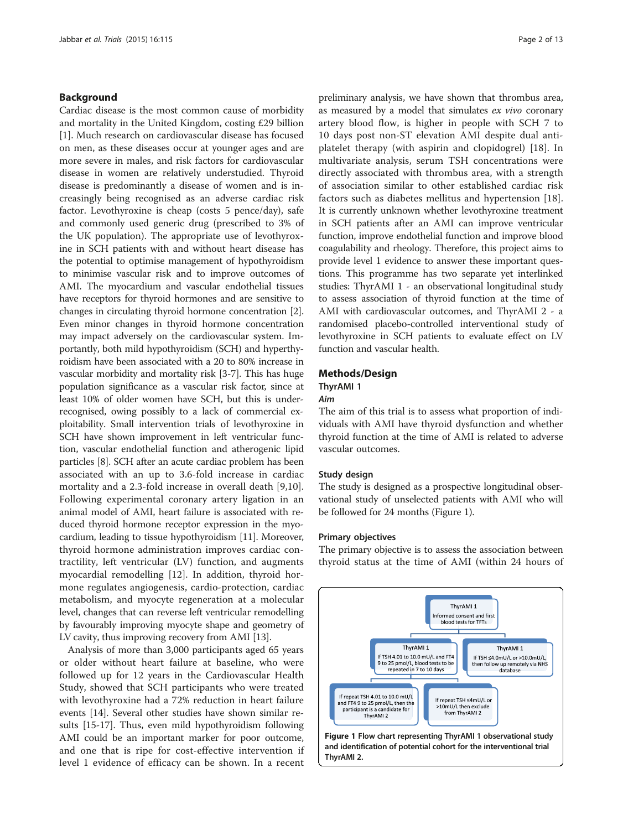#### <span id="page-1-0"></span>Background

Cardiac disease is the most common cause of morbidity and mortality in the United Kingdom, costing £29 billion [[1\]](#page-11-0). Much research on cardiovascular disease has focused on men, as these diseases occur at younger ages and are more severe in males, and risk factors for cardiovascular disease in women are relatively understudied. Thyroid disease is predominantly a disease of women and is increasingly being recognised as an adverse cardiac risk factor. Levothyroxine is cheap (costs 5 pence/day), safe and commonly used generic drug (prescribed to 3% of the UK population). The appropriate use of levothyroxine in SCH patients with and without heart disease has the potential to optimise management of hypothyroidism to minimise vascular risk and to improve outcomes of AMI. The myocardium and vascular endothelial tissues have receptors for thyroid hormones and are sensitive to changes in circulating thyroid hormone concentration [[2](#page-11-0)]. Even minor changes in thyroid hormone concentration may impact adversely on the cardiovascular system. Importantly, both mild hypothyroidism (SCH) and hyperthyroidism have been associated with a 20 to 80% increase in vascular morbidity and mortality risk [\[3](#page-11-0)-[7\]](#page-11-0). This has huge population significance as a vascular risk factor, since at least 10% of older women have SCH, but this is underrecognised, owing possibly to a lack of commercial exploitability. Small intervention trials of levothyroxine in SCH have shown improvement in left ventricular function, vascular endothelial function and atherogenic lipid particles [[8\]](#page-11-0). SCH after an acute cardiac problem has been associated with an up to 3.6-fold increase in cardiac mortality and a 2.3-fold increase in overall death [[9,10](#page-11-0)]. Following experimental coronary artery ligation in an animal model of AMI, heart failure is associated with reduced thyroid hormone receptor expression in the myocardium, leading to tissue hypothyroidism [\[11\]](#page-11-0). Moreover, thyroid hormone administration improves cardiac contractility, left ventricular (LV) function, and augments myocardial remodelling [\[12](#page-11-0)]. In addition, thyroid hormone regulates angiogenesis, cardio-protection, cardiac metabolism, and myocyte regeneration at a molecular level, changes that can reverse left ventricular remodelling by favourably improving myocyte shape and geometry of LV cavity, thus improving recovery from AMI [[13](#page-11-0)].

Analysis of more than 3,000 participants aged 65 years or older without heart failure at baseline, who were followed up for 12 years in the Cardiovascular Health Study, showed that SCH participants who were treated with levothyroxine had a 72% reduction in heart failure events [[14\]](#page-11-0). Several other studies have shown similar results [\[15-17](#page-11-0)]. Thus, even mild hypothyroidism following AMI could be an important marker for poor outcome, and one that is ripe for cost-effective intervention if level 1 evidence of efficacy can be shown. In a recent

preliminary analysis, we have shown that thrombus area, as measured by a model that simulates ex vivo coronary artery blood flow, is higher in people with SCH 7 to 10 days post non-ST elevation AMI despite dual antiplatelet therapy (with aspirin and clopidogrel) [[18](#page-11-0)]. In multivariate analysis, serum TSH concentrations were directly associated with thrombus area, with a strength of association similar to other established cardiac risk factors such as diabetes mellitus and hypertension [\[18](#page-11-0)]. It is currently unknown whether levothyroxine treatment in SCH patients after an AMI can improve ventricular function, improve endothelial function and improve blood coagulability and rheology. Therefore, this project aims to provide level 1 evidence to answer these important questions. This programme has two separate yet interlinked studies: ThyrAMI 1 - an observational longitudinal study to assess association of thyroid function at the time of AMI with cardiovascular outcomes, and ThyrAMI 2 - a randomised placebo-controlled interventional study of levothyroxine in SCH patients to evaluate effect on LV function and vascular health.

#### Methods/Design

# ThyrAMI 1

# Aim

The aim of this trial is to assess what proportion of individuals with AMI have thyroid dysfunction and whether thyroid function at the time of AMI is related to adverse vascular outcomes.

#### Study design

The study is designed as a prospective longitudinal observational study of unselected patients with AMI who will be followed for 24 months (Figure 1).

#### Primary objectives

The primary objective is to assess the association between thyroid status at the time of AMI (within 24 hours of

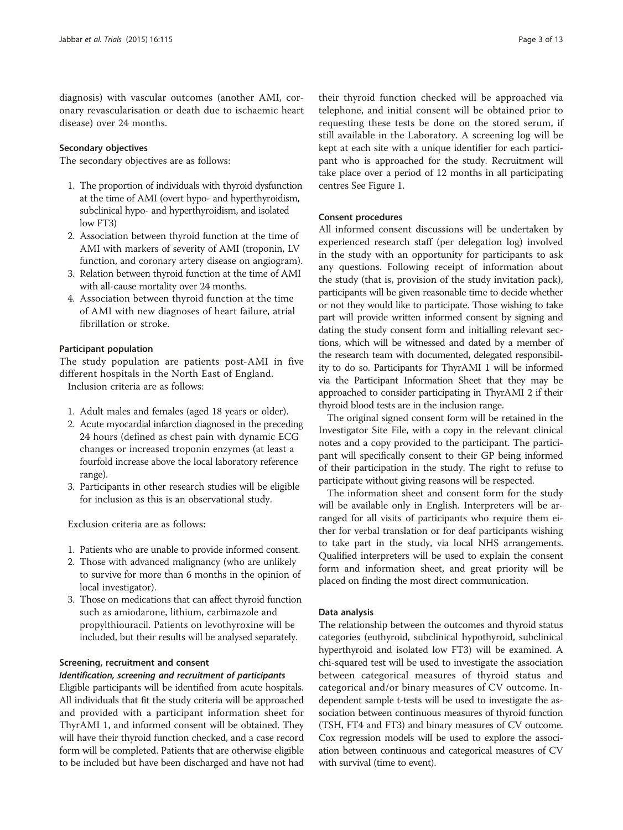diagnosis) with vascular outcomes (another AMI, coronary revascularisation or death due to ischaemic heart disease) over 24 months.

# Secondary objectives

The secondary objectives are as follows:

- 1. The proportion of individuals with thyroid dysfunction at the time of AMI (overt hypo- and hyperthyroidism, subclinical hypo- and hyperthyroidism, and isolated low FT3)
- 2. Association between thyroid function at the time of AMI with markers of severity of AMI (troponin, LV function, and coronary artery disease on angiogram).
- 3. Relation between thyroid function at the time of AMI with all-cause mortality over 24 months.
- 4. Association between thyroid function at the time of AMI with new diagnoses of heart failure, atrial fibrillation or stroke.

# Participant population

The study population are patients post-AMI in five different hospitals in the North East of England. Inclusion criteria are as follows:

- 1. Adult males and females (aged 18 years or older).
- 2. Acute myocardial infarction diagnosed in the preceding 24 hours (defined as chest pain with dynamic ECG changes or increased troponin enzymes (at least a fourfold increase above the local laboratory reference range).
- 3. Participants in other research studies will be eligible for inclusion as this is an observational study.

Exclusion criteria are as follows:

- 1. Patients who are unable to provide informed consent.
- 2. Those with advanced malignancy (who are unlikely to survive for more than 6 months in the opinion of local investigator).
- 3. Those on medications that can affect thyroid function such as amiodarone, lithium, carbimazole and propylthiouracil. Patients on levothyroxine will be included, but their results will be analysed separately.

#### Screening, recruitment and consent

# Identification, screening and recruitment of participants

Eligible participants will be identified from acute hospitals. All individuals that fit the study criteria will be approached and provided with a participant information sheet for ThyrAMI 1, and informed consent will be obtained. They will have their thyroid function checked, and a case record form will be completed. Patients that are otherwise eligible to be included but have been discharged and have not had

their thyroid function checked will be approached via telephone, and initial consent will be obtained prior to requesting these tests be done on the stored serum, if still available in the Laboratory. A screening log will be kept at each site with a unique identifier for each participant who is approached for the study. Recruitment will take place over a period of 12 months in all participating centres See Figure [1.](#page-1-0)

#### Consent procedures

All informed consent discussions will be undertaken by experienced research staff (per delegation log) involved in the study with an opportunity for participants to ask any questions. Following receipt of information about the study (that is, provision of the study invitation pack), participants will be given reasonable time to decide whether or not they would like to participate. Those wishing to take part will provide written informed consent by signing and dating the study consent form and initialling relevant sections, which will be witnessed and dated by a member of the research team with documented, delegated responsibility to do so. Participants for ThyrAMI 1 will be informed via the Participant Information Sheet that they may be approached to consider participating in ThyrAMI 2 if their thyroid blood tests are in the inclusion range.

The original signed consent form will be retained in the Investigator Site File, with a copy in the relevant clinical notes and a copy provided to the participant. The participant will specifically consent to their GP being informed of their participation in the study. The right to refuse to participate without giving reasons will be respected.

The information sheet and consent form for the study will be available only in English. Interpreters will be arranged for all visits of participants who require them either for verbal translation or for deaf participants wishing to take part in the study, via local NHS arrangements. Qualified interpreters will be used to explain the consent form and information sheet, and great priority will be placed on finding the most direct communication.

#### Data analysis

The relationship between the outcomes and thyroid status categories (euthyroid, subclinical hypothyroid, subclinical hyperthyroid and isolated low FT3) will be examined. A chi-squared test will be used to investigate the association between categorical measures of thyroid status and categorical and/or binary measures of CV outcome. Independent sample t-tests will be used to investigate the association between continuous measures of thyroid function (TSH, FT4 and FT3) and binary measures of CV outcome. Cox regression models will be used to explore the association between continuous and categorical measures of CV with survival (time to event).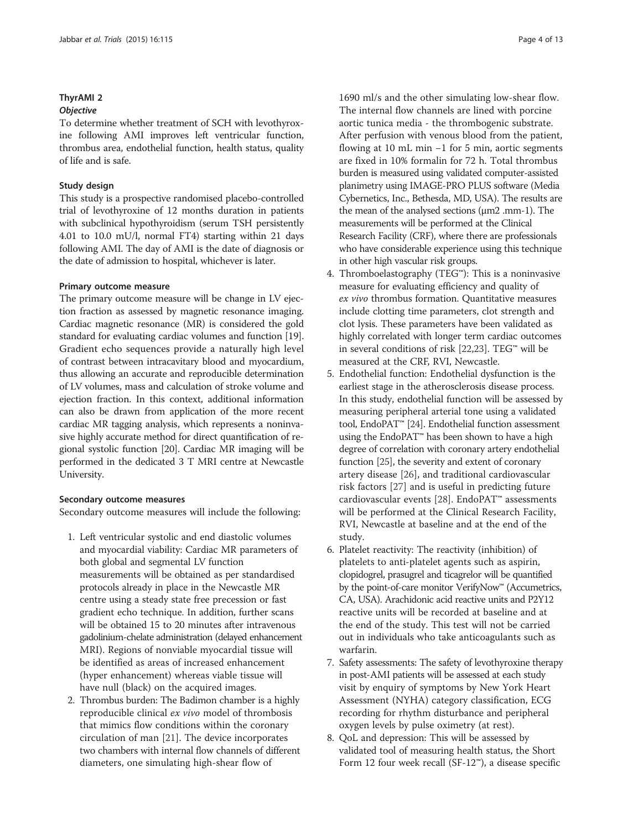#### ThyrAMI 2

#### **Objective**

To determine whether treatment of SCH with levothyroxine following AMI improves left ventricular function, thrombus area, endothelial function, health status, quality of life and is safe.

# Study design

This study is a prospective randomised placebo-controlled trial of levothyroxine of 12 months duration in patients with subclinical hypothyroidism (serum TSH persistently 4.01 to 10.0 mU/l, normal FT4) starting within 21 days following AMI. The day of AMI is the date of diagnosis or the date of admission to hospital, whichever is later.

#### Primary outcome measure

The primary outcome measure will be change in LV ejection fraction as assessed by magnetic resonance imaging. Cardiac magnetic resonance (MR) is considered the gold standard for evaluating cardiac volumes and function [[19](#page-11-0)]. Gradient echo sequences provide a naturally high level of contrast between intracavitary blood and myocardium, thus allowing an accurate and reproducible determination of LV volumes, mass and calculation of stroke volume and ejection fraction. In this context, additional information can also be drawn from application of the more recent cardiac MR tagging analysis, which represents a noninvasive highly accurate method for direct quantification of regional systolic function [\[20\]](#page-11-0). Cardiac MR imaging will be performed in the dedicated 3 T MRI centre at Newcastle University.

#### Secondary outcome measures

Secondary outcome measures will include the following:

- 1. Left ventricular systolic and end diastolic volumes and myocardial viability: Cardiac MR parameters of both global and segmental LV function measurements will be obtained as per standardised protocols already in place in the Newcastle MR centre using a steady state free precession or fast gradient echo technique. In addition, further scans will be obtained 15 to 20 minutes after intravenous gadolinium-chelate administration (delayed enhancement MRI). Regions of nonviable myocardial tissue will be identified as areas of increased enhancement (hyper enhancement) whereas viable tissue will have null (black) on the acquired images.
- 2. Thrombus burden: The Badimon chamber is a highly reproducible clinical ex vivo model of thrombosis that mimics flow conditions within the coronary circulation of man [\[21\]](#page-11-0). The device incorporates two chambers with internal flow channels of different diameters, one simulating high-shear flow of

1690 ml/s and the other simulating low-shear flow. The internal flow channels are lined with porcine aortic tunica media - the thrombogenic substrate. After perfusion with venous blood from the patient, flowing at 10 mL min −1 for 5 min, aortic segments are fixed in 10% formalin for 72 h. Total thrombus burden is measured using validated computer-assisted planimetry using IMAGE-PRO PLUS software (Media Cybernetics, Inc., Bethesda, MD, USA). The results are the mean of the analysed sections (μm2 .mm-1). The measurements will be performed at the Clinical Research Facility (CRF), where there are professionals who have considerable experience using this technique in other high vascular risk groups.

- 4. Thromboelastography (TEG™): This is a noninvasive measure for evaluating efficiency and quality of ex vivo thrombus formation. Quantitative measures include clotting time parameters, clot strength and clot lysis. These parameters have been validated as highly correlated with longer term cardiac outcomes in several conditions of risk [[22,23\]](#page-11-0). TEG™ will be measured at the CRF, RVI, Newcastle.
- 5. Endothelial function: Endothelial dysfunction is the earliest stage in the atherosclerosis disease process. In this study, endothelial function will be assessed by measuring peripheral arterial tone using a validated tool, EndoPAT™ [\[24\]](#page-11-0). Endothelial function assessment using the EndoPAT™ has been shown to have a high degree of correlation with coronary artery endothelial function [\[25](#page-11-0)], the severity and extent of coronary artery disease [\[26\]](#page-11-0), and traditional cardiovascular risk factors [[27\]](#page-11-0) and is useful in predicting future cardiovascular events [\[28](#page-11-0)]. EndoPAT™ assessments will be performed at the Clinical Research Facility, RVI, Newcastle at baseline and at the end of the study.
- 6. Platelet reactivity: The reactivity (inhibition) of platelets to anti-platelet agents such as aspirin, clopidogrel, prasugrel and ticagrelor will be quantified by the point-of-care monitor VerifyNow™ (Accumetrics, CA, USA). Arachidonic acid reactive units and P2Y12 reactive units will be recorded at baseline and at the end of the study. This test will not be carried out in individuals who take anticoagulants such as warfarin.
- 7. Safety assessments: The safety of levothyroxine therapy in post-AMI patients will be assessed at each study visit by enquiry of symptoms by New York Heart Assessment (NYHA) category classification, ECG recording for rhythm disturbance and peripheral oxygen levels by pulse oximetry (at rest).
- 8. QoL and depression: This will be assessed by validated tool of measuring health status, the Short Form 12 four week recall (SF-12™), a disease specific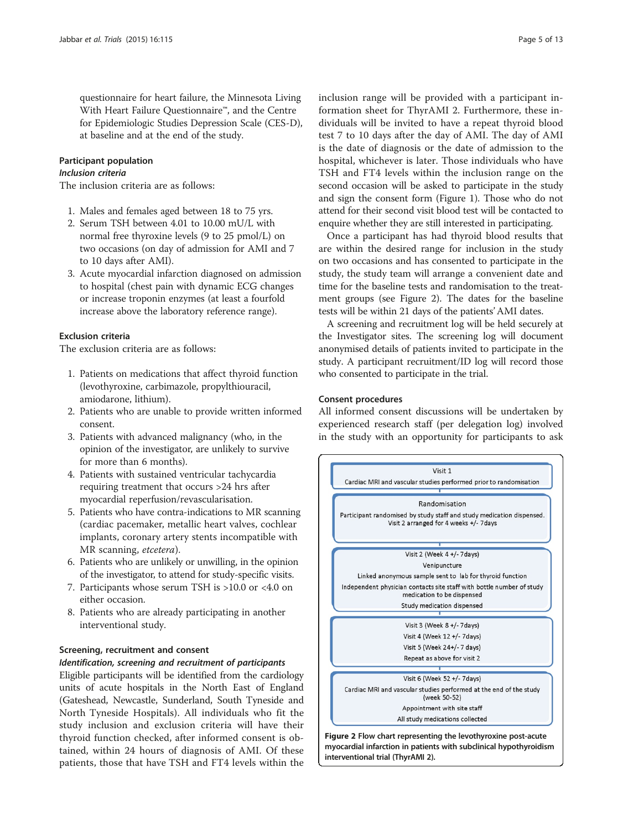questionnaire for heart failure, the Minnesota Living With Heart Failure Questionnaire™, and the Centre for Epidemiologic Studies Depression Scale (CES-D), at baseline and at the end of the study.

# Participant population

# Inclusion criteria

The inclusion criteria are as follows:

- 1. Males and females aged between 18 to 75 yrs.
- 2. Serum TSH between 4.01 to 10.00 mU/L with normal free thyroxine levels (9 to 25 pmol/L) on two occasions (on day of admission for AMI and 7 to 10 days after AMI).
- 3. Acute myocardial infarction diagnosed on admission to hospital (chest pain with dynamic ECG changes or increase troponin enzymes (at least a fourfold increase above the laboratory reference range).

# Exclusion criteria

The exclusion criteria are as follows:

- 1. Patients on medications that affect thyroid function (levothyroxine, carbimazole, propylthiouracil, amiodarone, lithium).
- 2. Patients who are unable to provide written informed consent.
- 3. Patients with advanced malignancy (who, in the opinion of the investigator, are unlikely to survive for more than 6 months).
- 4. Patients with sustained ventricular tachycardia requiring treatment that occurs >24 hrs after myocardial reperfusion/revascularisation.
- 5. Patients who have contra-indications to MR scanning (cardiac pacemaker, metallic heart valves, cochlear implants, coronary artery stents incompatible with MR scanning, *etcetera*).
- 6. Patients who are unlikely or unwilling, in the opinion of the investigator, to attend for study-specific visits.
- 7. Participants whose serum TSH is >10.0 or <4.0 on either occasion.
- 8. Patients who are already participating in another interventional study.

#### Screening, recruitment and consent

#### Identification, screening and recruitment of participants

Eligible participants will be identified from the cardiology units of acute hospitals in the North East of England (Gateshead, Newcastle, Sunderland, South Tyneside and North Tyneside Hospitals). All individuals who fit the study inclusion and exclusion criteria will have their thyroid function checked, after informed consent is obtained, within 24 hours of diagnosis of AMI. Of these patients, those that have TSH and FT4 levels within the

inclusion range will be provided with a participant information sheet for ThyrAMI 2. Furthermore, these individuals will be invited to have a repeat thyroid blood test 7 to 10 days after the day of AMI. The day of AMI is the date of diagnosis or the date of admission to the hospital, whichever is later. Those individuals who have TSH and FT4 levels within the inclusion range on the second occasion will be asked to participate in the study and sign the consent form (Figure [1\)](#page-1-0). Those who do not attend for their second visit blood test will be contacted to enquire whether they are still interested in participating.

Once a participant has had thyroid blood results that are within the desired range for inclusion in the study on two occasions and has consented to participate in the study, the study team will arrange a convenient date and time for the baseline tests and randomisation to the treatment groups (see Figure 2). The dates for the baseline tests will be within 21 days of the patients' AMI dates.

A screening and recruitment log will be held securely at the Investigator sites. The screening log will document anonymised details of patients invited to participate in the study. A participant recruitment/ID log will record those who consented to participate in the trial.

# Consent procedures

All informed consent discussions will be undertaken by experienced research staff (per delegation log) involved in the study with an opportunity for participants to ask

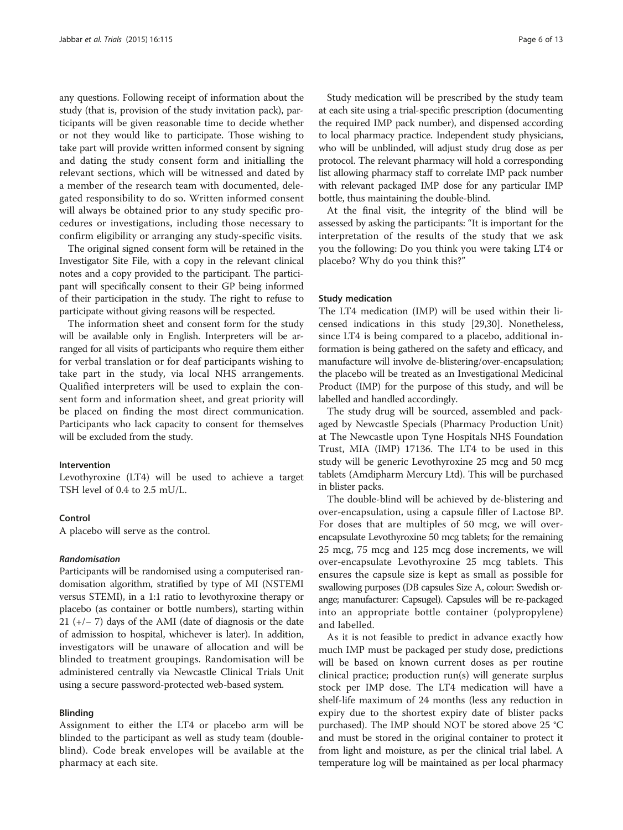any questions. Following receipt of information about the study (that is, provision of the study invitation pack), participants will be given reasonable time to decide whether or not they would like to participate. Those wishing to take part will provide written informed consent by signing and dating the study consent form and initialling the relevant sections, which will be witnessed and dated by a member of the research team with documented, delegated responsibility to do so. Written informed consent will always be obtained prior to any study specific procedures or investigations, including those necessary to confirm eligibility or arranging any study-specific visits.

The original signed consent form will be retained in the Investigator Site File, with a copy in the relevant clinical notes and a copy provided to the participant. The participant will specifically consent to their GP being informed of their participation in the study. The right to refuse to participate without giving reasons will be respected.

The information sheet and consent form for the study will be available only in English. Interpreters will be arranged for all visits of participants who require them either for verbal translation or for deaf participants wishing to take part in the study, via local NHS arrangements. Qualified interpreters will be used to explain the consent form and information sheet, and great priority will be placed on finding the most direct communication. Participants who lack capacity to consent for themselves will be excluded from the study.

#### Intervention

Levothyroxine (LT4) will be used to achieve a target TSH level of 0.4 to 2.5 mU/L.

#### Control

A placebo will serve as the control.

#### Randomisation

Participants will be randomised using a computerised randomisation algorithm, stratified by type of MI (NSTEMI versus STEMI), in a 1:1 ratio to levothyroxine therapy or placebo (as container or bottle numbers), starting within 21 (+/− 7) days of the AMI (date of diagnosis or the date of admission to hospital, whichever is later). In addition, investigators will be unaware of allocation and will be blinded to treatment groupings. Randomisation will be administered centrally via Newcastle Clinical Trials Unit using a secure password-protected web-based system.

#### Blinding

Assignment to either the LT4 or placebo arm will be blinded to the participant as well as study team (doubleblind). Code break envelopes will be available at the pharmacy at each site.

Study medication will be prescribed by the study team at each site using a trial-specific prescription (documenting the required IMP pack number), and dispensed according to local pharmacy practice. Independent study physicians, who will be unblinded, will adjust study drug dose as per protocol. The relevant pharmacy will hold a corresponding list allowing pharmacy staff to correlate IMP pack number with relevant packaged IMP dose for any particular IMP bottle, thus maintaining the double-blind.

At the final visit, the integrity of the blind will be assessed by asking the participants: "It is important for the interpretation of the results of the study that we ask you the following: Do you think you were taking LT4 or placebo? Why do you think this?"

#### Study medication

The LT4 medication (IMP) will be used within their licensed indications in this study [[29](#page-11-0),[30](#page-11-0)]. Nonetheless, since LT4 is being compared to a placebo, additional information is being gathered on the safety and efficacy, and manufacture will involve de-blistering/over-encapsulation; the placebo will be treated as an Investigational Medicinal Product (IMP) for the purpose of this study, and will be labelled and handled accordingly.

The study drug will be sourced, assembled and packaged by Newcastle Specials (Pharmacy Production Unit) at The Newcastle upon Tyne Hospitals NHS Foundation Trust, MIA (IMP) 17136. The LT4 to be used in this study will be generic Levothyroxine 25 mcg and 50 mcg tablets (Amdipharm Mercury Ltd). This will be purchased in blister packs.

The double-blind will be achieved by de-blistering and over-encapsulation, using a capsule filler of Lactose BP. For doses that are multiples of 50 mcg, we will overencapsulate Levothyroxine 50 mcg tablets; for the remaining 25 mcg, 75 mcg and 125 mcg dose increments, we will over-encapsulate Levothyroxine 25 mcg tablets. This ensures the capsule size is kept as small as possible for swallowing purposes (DB capsules Size A, colour: Swedish orange; manufacturer: Capsugel). Capsules will be re-packaged into an appropriate bottle container (polypropylene) and labelled.

As it is not feasible to predict in advance exactly how much IMP must be packaged per study dose, predictions will be based on known current doses as per routine clinical practice; production run(s) will generate surplus stock per IMP dose. The LT4 medication will have a shelf-life maximum of 24 months (less any reduction in expiry due to the shortest expiry date of blister packs purchased). The IMP should NOT be stored above 25 °C and must be stored in the original container to protect it from light and moisture, as per the clinical trial label. A temperature log will be maintained as per local pharmacy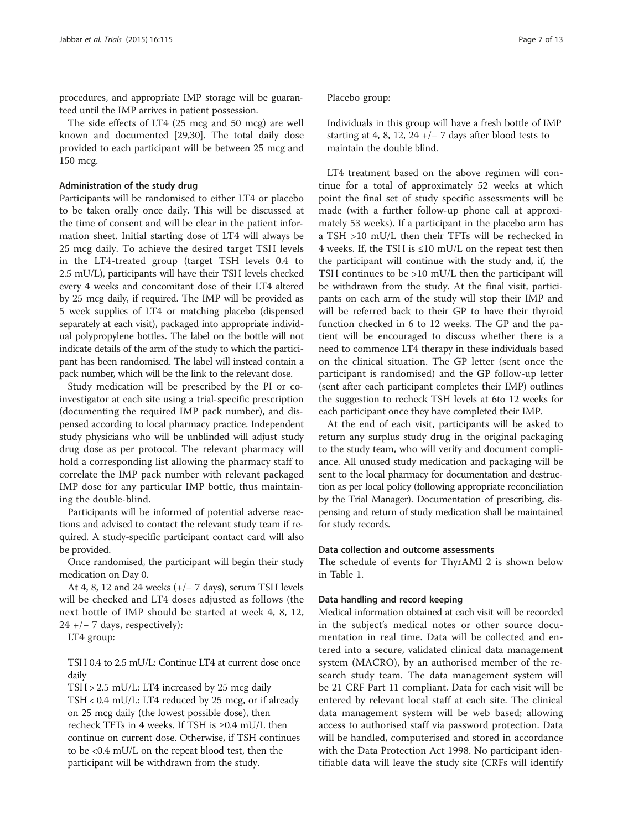procedures, and appropriate IMP storage will be guaranteed until the IMP arrives in patient possession.

The side effects of LT4 (25 mcg and 50 mcg) are well known and documented [[29](#page-11-0),[30](#page-11-0)]. The total daily dose provided to each participant will be between 25 mcg and 150 mcg.

#### Administration of the study drug

Participants will be randomised to either LT4 or placebo to be taken orally once daily. This will be discussed at the time of consent and will be clear in the patient information sheet. Initial starting dose of LT4 will always be 25 mcg daily. To achieve the desired target TSH levels in the LT4-treated group (target TSH levels 0.4 to 2.5 mU/L), participants will have their TSH levels checked every 4 weeks and concomitant dose of their LT4 altered by 25 mcg daily, if required. The IMP will be provided as 5 week supplies of LT4 or matching placebo (dispensed separately at each visit), packaged into appropriate individual polypropylene bottles. The label on the bottle will not indicate details of the arm of the study to which the participant has been randomised. The label will instead contain a pack number, which will be the link to the relevant dose.

Study medication will be prescribed by the PI or coinvestigator at each site using a trial-specific prescription (documenting the required IMP pack number), and dispensed according to local pharmacy practice. Independent study physicians who will be unblinded will adjust study drug dose as per protocol. The relevant pharmacy will hold a corresponding list allowing the pharmacy staff to correlate the IMP pack number with relevant packaged IMP dose for any particular IMP bottle, thus maintaining the double-blind.

Participants will be informed of potential adverse reactions and advised to contact the relevant study team if required. A study-specific participant contact card will also be provided.

Once randomised, the participant will begin their study medication on Day 0.

At 4, 8, 12 and 24 weeks (+/− 7 days), serum TSH levels will be checked and LT4 doses adjusted as follows (the next bottle of IMP should be started at week 4, 8, 12, 24 +/− 7 days, respectively):

LT4 group:

TSH 0.4 to 2.5 mU/L: Continue LT4 at current dose once daily

TSH > 2.5 mU/L: LT4 increased by 25 mcg daily TSH < 0.4 mU/L: LT4 reduced by 25 mcg, or if already on 25 mcg daily (the lowest possible dose), then recheck TFTs in 4 weeks. If TSH is ≥0.4 mU/L then continue on current dose. Otherwise, if TSH continues to be <0.4 mU/L on the repeat blood test, then the participant will be withdrawn from the study.

Placebo group:

Individuals in this group will have a fresh bottle of IMP starting at 4, 8, 12, 24 +/- 7 days after blood tests to maintain the double blind.

LT4 treatment based on the above regimen will continue for a total of approximately 52 weeks at which point the final set of study specific assessments will be made (with a further follow-up phone call at approximately 53 weeks). If a participant in the placebo arm has a TSH >10 mU/L then their TFTs will be rechecked in 4 weeks. If, the TSH is  $\leq 10$  mU/L on the repeat test then the participant will continue with the study and, if, the TSH continues to be >10 mU/L then the participant will be withdrawn from the study. At the final visit, participants on each arm of the study will stop their IMP and will be referred back to their GP to have their thyroid function checked in 6 to 12 weeks. The GP and the patient will be encouraged to discuss whether there is a need to commence LT4 therapy in these individuals based on the clinical situation. The GP letter (sent once the participant is randomised) and the GP follow-up letter (sent after each participant completes their IMP) outlines the suggestion to recheck TSH levels at 6to 12 weeks for each participant once they have completed their IMP.

At the end of each visit, participants will be asked to return any surplus study drug in the original packaging to the study team, who will verify and document compliance. All unused study medication and packaging will be sent to the local pharmacy for documentation and destruction as per local policy (following appropriate reconciliation by the Trial Manager). Documentation of prescribing, dispensing and return of study medication shall be maintained for study records.

#### Data collection and outcome assessments

The schedule of events for ThyrAMI 2 is shown below in Table [1.](#page-7-0)

#### Data handling and record keeping

Medical information obtained at each visit will be recorded in the subject's medical notes or other source documentation in real time. Data will be collected and entered into a secure, validated clinical data management system (MACRO), by an authorised member of the research study team. The data management system will be 21 CRF Part 11 compliant. Data for each visit will be entered by relevant local staff at each site. The clinical data management system will be web based; allowing access to authorised staff via password protection. Data will be handled, computerised and stored in accordance with the Data Protection Act 1998. No participant identifiable data will leave the study site (CRFs will identify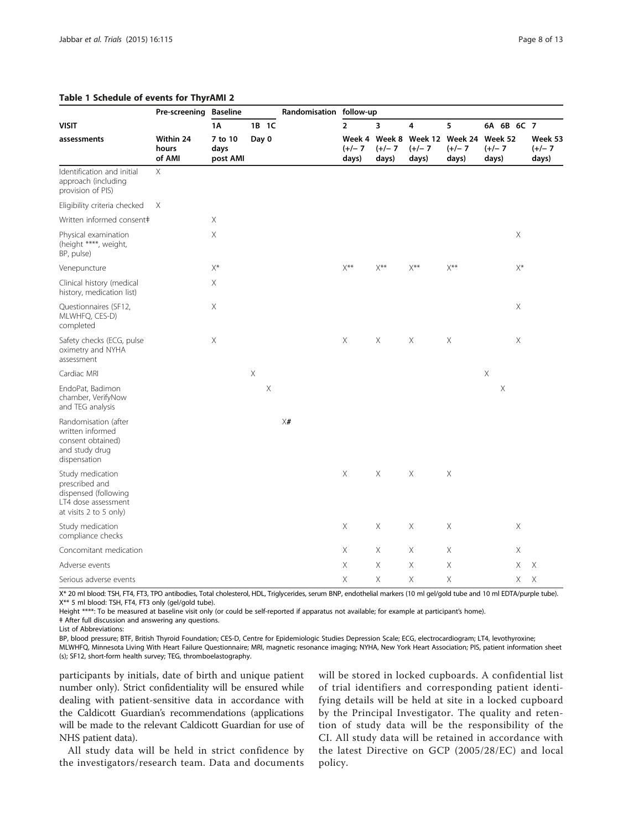#### <span id="page-7-0"></span>Table 1 Schedule of events for ThyrAMI 2

|                                                                                                             | Pre-screening                | <b>Baseline</b>             |          | Randomisation follow-up |                    |                                     |                                       |                    |                               |                |                               |
|-------------------------------------------------------------------------------------------------------------|------------------------------|-----------------------------|----------|-------------------------|--------------------|-------------------------------------|---------------------------------------|--------------------|-------------------------------|----------------|-------------------------------|
| <b>VISIT</b>                                                                                                |                              | 1A                          | 1B 1C    |                         | $\overline{2}$     | 3                                   | 4                                     | 5                  | 6A 6B 6C 7                    |                |                               |
| assessments                                                                                                 | Within 24<br>hours<br>of AMI | 7 to 10<br>days<br>post AMI | Day 0    |                         | $(+/- 7)$<br>days) | Week 4 Week 8<br>$(+/- 7)$<br>days) | Week 12 Week 24<br>$(+/- 7)$<br>days) | $(+/- 7)$<br>days) | Week 52<br>$(+/- 7)$<br>days) |                | Week 53<br>$(+/- 7)$<br>days) |
| Identification and initial<br>approach (including<br>provision of PIS)                                      | X                            |                             |          |                         |                    |                                     |                                       |                    |                               |                |                               |
| Eligibility criteria checked                                                                                | Χ                            |                             |          |                         |                    |                                     |                                       |                    |                               |                |                               |
| Written informed consent‡                                                                                   |                              | Χ                           |          |                         |                    |                                     |                                       |                    |                               |                |                               |
| Physical examination<br>(height ****, weight,<br>BP, pulse)                                                 |                              | Χ                           |          |                         |                    |                                     |                                       |                    |                               | $\times$       |                               |
| Venepuncture                                                                                                |                              | $X^*$                       |          |                         | $X^{**}$           | $X^{**}$                            | $X^{**}$                              | $X^{**}$           |                               | $\mathsf{X}^*$ |                               |
| Clinical history (medical<br>history, medication list)                                                      |                              | Χ                           |          |                         |                    |                                     |                                       |                    |                               |                |                               |
| Questionnaires (SF12,<br>MLWHFQ, CES-D)<br>completed                                                        |                              | Χ                           |          |                         |                    |                                     |                                       |                    |                               | $\mathsf X$    |                               |
| Safety checks (ECG, pulse<br>oximetry and NYHA<br>assessment                                                |                              | Χ                           |          |                         | $\times$           | $\times$                            | $\times$                              | $\times$           |                               | X              |                               |
| Cardiac MRI                                                                                                 |                              |                             | $\times$ |                         |                    |                                     |                                       |                    | $\mathsf X$                   |                |                               |
| EndoPat, Badimon<br>chamber, VerifyNow<br>and TEG analysis                                                  |                              |                             | Χ        |                         |                    |                                     |                                       |                    | Χ                             |                |                               |
| Randomisation (after<br>written informed<br>consent obtained)<br>and study drug<br>dispensation             |                              |                             |          | $\times$ #              |                    |                                     |                                       |                    |                               |                |                               |
| Study medication<br>prescribed and<br>dispensed (following<br>LT4 dose assessment<br>at visits 2 to 5 only) |                              |                             |          |                         | $\times$           | X                                   | $\times$                              | $\mathsf X$        |                               |                |                               |
| Study medication<br>compliance checks                                                                       |                              |                             |          |                         | $\mathsf X$        | X                                   | Χ                                     | $\mathsf X$        |                               | $\mathsf X$    |                               |
| Concomitant medication                                                                                      |                              |                             |          |                         | $\times$           | X                                   | X                                     | X                  |                               | Χ              |                               |
| Adverse events                                                                                              |                              |                             |          |                         | Χ                  | Χ                                   | Χ                                     | Χ                  |                               | Χ              | Χ                             |
| Serious adverse events                                                                                      |                              |                             |          |                         | Χ                  | Χ                                   | Χ                                     | Χ                  |                               | Χ              | Χ                             |

X\* 20 ml blood: TSH, FT4, FT3, TPO antibodies, Total cholesterol, HDL, Triglycerides, serum BNP, endothelial markers (10 ml gel/gold tube and 10 ml EDTA/purple tube). X\*\* 5 ml blood: TSH, FT4, FT3 only (gel/gold tube).

Height \*\*\*\*: To be measured at baseline visit only (or could be self-reported if apparatus not available; for example at participant's home). ǂ After full discussion and answering any questions.

List of Abbreviations:

BP, blood pressure; BTF, British Thyroid Foundation; CES-D, Centre for Epidemiologic Studies Depression Scale; ECG, electrocardiogram; LT4, levothyroxine; MLWHFQ, Minnesota Living With Heart Failure Questionnaire; MRI, magnetic resonance imaging; NYHA, New York Heart Association; PIS, patient information sheet (s); SF12, short-form health survey; TEG, thromboelastography.

participants by initials, date of birth and unique patient number only). Strict confidentiality will be ensured while dealing with patient-sensitive data in accordance with the Caldicott Guardian's recommendations (applications will be made to the relevant Caldicott Guardian for use of NHS patient data).

All study data will be held in strict confidence by the investigators/research team. Data and documents will be stored in locked cupboards. A confidential list of trial identifiers and corresponding patient identifying details will be held at site in a locked cupboard by the Principal Investigator. The quality and retention of study data will be the responsibility of the CI. All study data will be retained in accordance with the latest Directive on GCP (2005/28/EC) and local policy.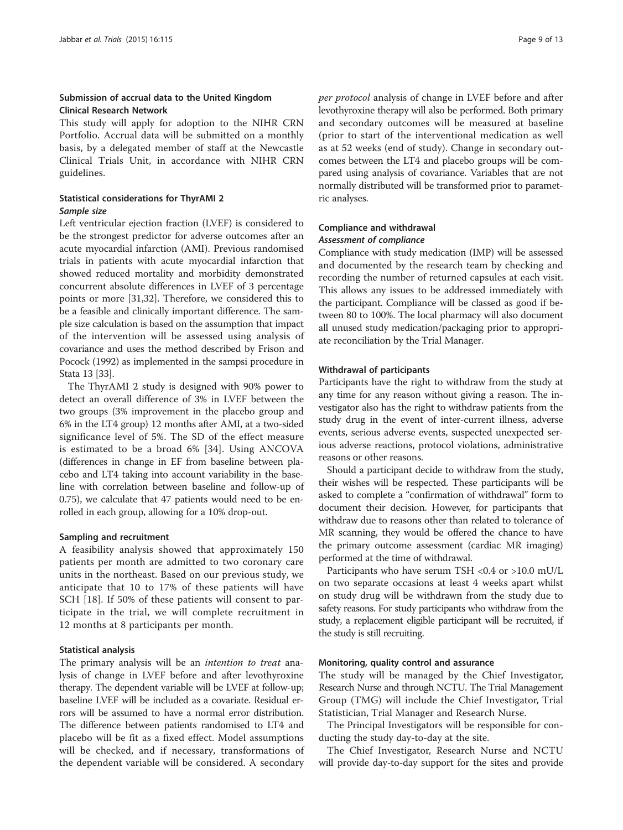# Submission of accrual data to the United Kingdom Clinical Research Network

This study will apply for adoption to the NIHR CRN Portfolio. Accrual data will be submitted on a monthly basis, by a delegated member of staff at the Newcastle Clinical Trials Unit, in accordance with NIHR CRN guidelines.

# Statistical considerations for ThyrAMI 2 Sample size

Left ventricular ejection fraction (LVEF) is considered to be the strongest predictor for adverse outcomes after an acute myocardial infarction (AMI). Previous randomised trials in patients with acute myocardial infarction that showed reduced mortality and morbidity demonstrated concurrent absolute differences in LVEF of 3 percentage points or more [[31](#page-11-0)[,32](#page-12-0)]. Therefore, we considered this to be a feasible and clinically important difference. The sample size calculation is based on the assumption that impact of the intervention will be assessed using analysis of covariance and uses the method described by Frison and Pocock (1992) as implemented in the sampsi procedure in Stata 13 [\[33](#page-12-0)].

The ThyrAMI 2 study is designed with 90% power to detect an overall difference of 3% in LVEF between the two groups (3% improvement in the placebo group and 6% in the LT4 group) 12 months after AMI, at a two-sided significance level of 5%. The SD of the effect measure is estimated to be a broad 6% [[34\]](#page-12-0). Using ANCOVA (differences in change in EF from baseline between placebo and LT4 taking into account variability in the baseline with correlation between baseline and follow-up of 0.75), we calculate that 47 patients would need to be enrolled in each group, allowing for a 10% drop-out.

#### Sampling and recruitment

A feasibility analysis showed that approximately 150 patients per month are admitted to two coronary care units in the northeast. Based on our previous study, we anticipate that 10 to 17% of these patients will have SCH [[18](#page-11-0)]. If 50% of these patients will consent to participate in the trial, we will complete recruitment in 12 months at 8 participants per month.

#### Statistical analysis

The primary analysis will be an *intention to treat* analysis of change in LVEF before and after levothyroxine therapy. The dependent variable will be LVEF at follow-up; baseline LVEF will be included as a covariate. Residual errors will be assumed to have a normal error distribution. The difference between patients randomised to LT4 and placebo will be fit as a fixed effect. Model assumptions will be checked, and if necessary, transformations of the dependent variable will be considered. A secondary per protocol analysis of change in LVEF before and after levothyroxine therapy will also be performed. Both primary and secondary outcomes will be measured at baseline (prior to start of the interventional medication as well as at 52 weeks (end of study). Change in secondary outcomes between the LT4 and placebo groups will be compared using analysis of covariance. Variables that are not normally distributed will be transformed prior to parametric analyses.

# Compliance and withdrawal Assessment of compliance

Compliance with study medication (IMP) will be assessed and documented by the research team by checking and recording the number of returned capsules at each visit. This allows any issues to be addressed immediately with the participant. Compliance will be classed as good if between 80 to 100%. The local pharmacy will also document all unused study medication/packaging prior to appropriate reconciliation by the Trial Manager.

# Withdrawal of participants

Participants have the right to withdraw from the study at any time for any reason without giving a reason. The investigator also has the right to withdraw patients from the study drug in the event of inter-current illness, adverse events, serious adverse events, suspected unexpected serious adverse reactions, protocol violations, administrative reasons or other reasons.

Should a participant decide to withdraw from the study, their wishes will be respected. These participants will be asked to complete a "confirmation of withdrawal" form to document their decision. However, for participants that withdraw due to reasons other than related to tolerance of MR scanning, they would be offered the chance to have the primary outcome assessment (cardiac MR imaging) performed at the time of withdrawal.

Participants who have serum TSH <0.4 or >10.0 mU/L on two separate occasions at least 4 weeks apart whilst on study drug will be withdrawn from the study due to safety reasons. For study participants who withdraw from the study, a replacement eligible participant will be recruited, if the study is still recruiting.

#### Monitoring, quality control and assurance

The study will be managed by the Chief Investigator, Research Nurse and through NCTU. The Trial Management Group (TMG) will include the Chief Investigator, Trial Statistician, Trial Manager and Research Nurse.

The Principal Investigators will be responsible for conducting the study day-to-day at the site.

The Chief Investigator, Research Nurse and NCTU will provide day-to-day support for the sites and provide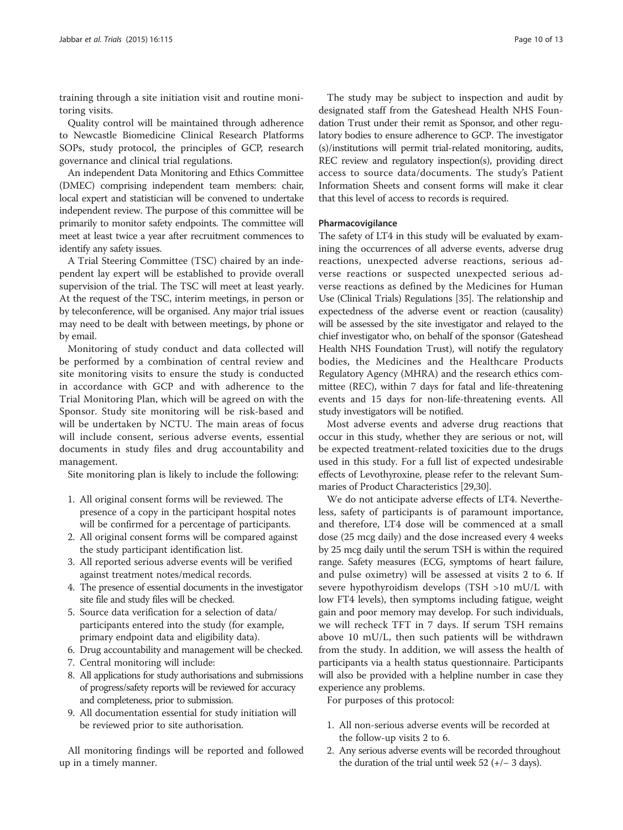training through a site initiation visit and routine monitoring visits.

Quality control will be maintained through adherence to Newcastle Biomedicine Clinical Research Platforms SOPs, study protocol, the principles of GCP, research governance and clinical trial regulations.

An independent Data Monitoring and Ethics Committee (DMEC) comprising independent team members: chair, local expert and statistician will be convened to undertake independent review. The purpose of this committee will be primarily to monitor safety endpoints. The committee will meet at least twice a year after recruitment commences to identify any safety issues.

A Trial Steering Committee (TSC) chaired by an independent lay expert will be established to provide overall supervision of the trial. The TSC will meet at least yearly. At the request of the TSC, interim meetings, in person or by teleconference, will be organised. Any major trial issues may need to be dealt with between meetings, by phone or by email.

Monitoring of study conduct and data collected will be performed by a combination of central review and site monitoring visits to ensure the study is conducted in accordance with GCP and with adherence to the Trial Monitoring Plan, which will be agreed on with the Sponsor. Study site monitoring will be risk-based and will be undertaken by NCTU. The main areas of focus will include consent, serious adverse events, essential documents in study files and drug accountability and management.

Site monitoring plan is likely to include the following:

- 1. All original consent forms will be reviewed. The presence of a copy in the participant hospital notes will be confirmed for a percentage of participants.
- 2. All original consent forms will be compared against the study participant identification list.
- 3. All reported serious adverse events will be verified against treatment notes/medical records.
- 4. The presence of essential documents in the investigator site file and study files will be checked.
- 5. Source data verification for a selection of data/ participants entered into the study (for example, primary endpoint data and eligibility data).
- 6. Drug accountability and management will be checked.
- 7. Central monitoring will include:
- 8. All applications for study authorisations and submissions of progress/safety reports will be reviewed for accuracy and completeness, prior to submission.
- 9. All documentation essential for study initiation will be reviewed prior to site authorisation.

All monitoring findings will be reported and followed up in a timely manner.

The study may be subject to inspection and audit by designated staff from the Gateshead Health NHS Foundation Trust under their remit as Sponsor, and other regulatory bodies to ensure adherence to GCP. The investigator (s)/institutions will permit trial-related monitoring, audits, REC review and regulatory inspection(s), providing direct access to source data/documents. The study's Patient Information Sheets and consent forms will make it clear that this level of access to records is required.

#### Pharmacovigilance

The safety of LT4 in this study will be evaluated by examining the occurrences of all adverse events, adverse drug reactions, unexpected adverse reactions, serious adverse reactions or suspected unexpected serious adverse reactions as defined by the Medicines for Human Use (Clinical Trials) Regulations [[35](#page-12-0)]. The relationship and expectedness of the adverse event or reaction (causality) will be assessed by the site investigator and relayed to the chief investigator who, on behalf of the sponsor (Gateshead Health NHS Foundation Trust), will notify the regulatory bodies, the Medicines and the Healthcare Products Regulatory Agency (MHRA) and the research ethics committee (REC), within 7 days for fatal and life-threatening events and 15 days for non-life-threatening events. All study investigators will be notified.

Most adverse events and adverse drug reactions that occur in this study, whether they are serious or not, will be expected treatment-related toxicities due to the drugs used in this study. For a full list of expected undesirable effects of Levothyroxine, please refer to the relevant Summaries of Product Characteristics [\[29,30\]](#page-11-0).

We do not anticipate adverse effects of LT4. Nevertheless, safety of participants is of paramount importance, and therefore, LT4 dose will be commenced at a small dose (25 mcg daily) and the dose increased every 4 weeks by 25 mcg daily until the serum TSH is within the required range. Safety measures (ECG, symptoms of heart failure, and pulse oximetry) will be assessed at visits 2 to 6. If severe hypothyroidism develops (TSH >10 mU/L with low FT4 levels), then symptoms including fatigue, weight gain and poor memory may develop. For such individuals, we will recheck TFT in 7 days. If serum TSH remains above 10 mU/L, then such patients will be withdrawn from the study. In addition, we will assess the health of participants via a health status questionnaire. Participants will also be provided with a helpline number in case they experience any problems.

For purposes of this protocol:

- 1. All non-serious adverse events will be recorded at the follow-up visits 2 to 6.
- 2. Any serious adverse events will be recorded throughout the duration of the trial until week  $52 (+/- 3$  days).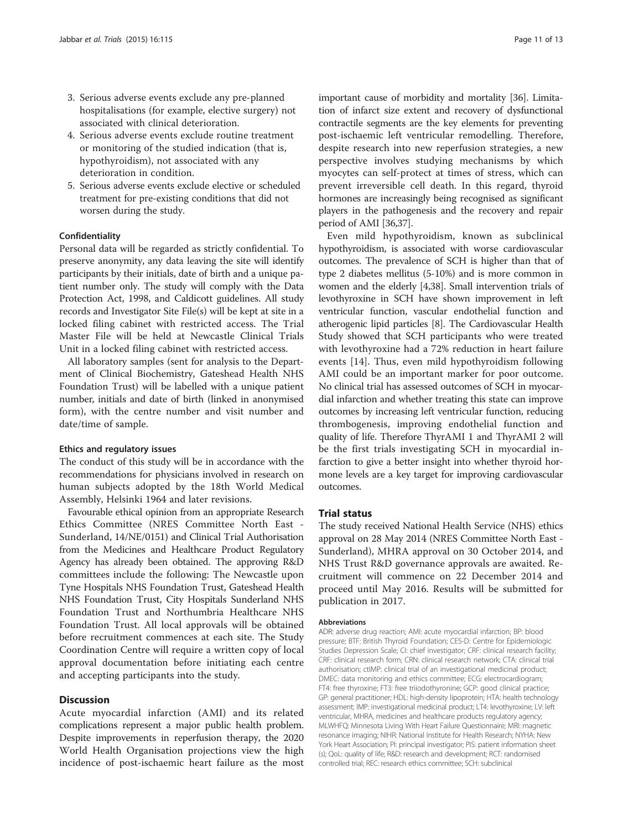- 3. Serious adverse events exclude any pre-planned hospitalisations (for example, elective surgery) not associated with clinical deterioration.
- 4. Serious adverse events exclude routine treatment or monitoring of the studied indication (that is, hypothyroidism), not associated with any deterioration in condition.
- 5. Serious adverse events exclude elective or scheduled treatment for pre-existing conditions that did not worsen during the study.

# Confidentiality

Personal data will be regarded as strictly confidential. To preserve anonymity, any data leaving the site will identify participants by their initials, date of birth and a unique patient number only. The study will comply with the Data Protection Act, 1998, and Caldicott guidelines. All study records and Investigator Site File(s) will be kept at site in a locked filing cabinet with restricted access. The Trial Master File will be held at Newcastle Clinical Trials Unit in a locked filing cabinet with restricted access.

All laboratory samples (sent for analysis to the Department of Clinical Biochemistry, Gateshead Health NHS Foundation Trust) will be labelled with a unique patient number, initials and date of birth (linked in anonymised form), with the centre number and visit number and date/time of sample.

#### Ethics and regulatory issues

The conduct of this study will be in accordance with the recommendations for physicians involved in research on human subjects adopted by the 18th World Medical Assembly, Helsinki 1964 and later revisions.

Favourable ethical opinion from an appropriate Research Ethics Committee (NRES Committee North East - Sunderland, 14/NE/0151) and Clinical Trial Authorisation from the Medicines and Healthcare Product Regulatory Agency has already been obtained. The approving R&D committees include the following: The Newcastle upon Tyne Hospitals NHS Foundation Trust, Gateshead Health NHS Foundation Trust, City Hospitals Sunderland NHS Foundation Trust and Northumbria Healthcare NHS Foundation Trust. All local approvals will be obtained before recruitment commences at each site. The Study Coordination Centre will require a written copy of local approval documentation before initiating each centre and accepting participants into the study.

# **Discussion**

Acute myocardial infarction (AMI) and its related complications represent a major public health problem. Despite improvements in reperfusion therapy, the 2020 World Health Organisation projections view the high incidence of post-ischaemic heart failure as the most

important cause of morbidity and mortality [[36](#page-12-0)]. Limitation of infarct size extent and recovery of dysfunctional contractile segments are the key elements for preventing post-ischaemic left ventricular remodelling. Therefore, despite research into new reperfusion strategies, a new perspective involves studying mechanisms by which myocytes can self-protect at times of stress, which can prevent irreversible cell death. In this regard, thyroid hormones are increasingly being recognised as significant players in the pathogenesis and the recovery and repair period of AMI [\[36,37\]](#page-12-0).

Even mild hypothyroidism, known as subclinical hypothyroidism, is associated with worse cardiovascular outcomes. The prevalence of SCH is higher than that of type 2 diabetes mellitus (5-10%) and is more common in women and the elderly [[4,](#page-11-0)[38](#page-12-0)]. Small intervention trials of levothyroxine in SCH have shown improvement in left ventricular function, vascular endothelial function and atherogenic lipid particles [[8\]](#page-11-0). The Cardiovascular Health Study showed that SCH participants who were treated with levothyroxine had a 72% reduction in heart failure events [\[14](#page-11-0)]. Thus, even mild hypothyroidism following AMI could be an important marker for poor outcome. No clinical trial has assessed outcomes of SCH in myocardial infarction and whether treating this state can improve outcomes by increasing left ventricular function, reducing thrombogenesis, improving endothelial function and quality of life. Therefore ThyrAMI 1 and ThyrAMI 2 will be the first trials investigating SCH in myocardial infarction to give a better insight into whether thyroid hormone levels are a key target for improving cardiovascular outcomes.

# Trial status

The study received National Health Service (NHS) ethics approval on 28 May 2014 (NRES Committee North East - Sunderland), MHRA approval on 30 October 2014, and NHS Trust R&D governance approvals are awaited. Recruitment will commence on 22 December 2014 and proceed until May 2016. Results will be submitted for publication in 2017.

#### Abbreviations

ADR: adverse drug reaction; AMI: acute myocardial infarction; BP: blood pressure; BTF: British Thyroid Foundation; CES-D: Centre for Epidemiologic Studies Depression Scale; CI: chief investigator; CRF: clinical research facility; CRF: clinical research form; CRN: clinical research network; CTA: clinical trial authorisation; ctIMP: clinical trial of an investigational medicinal product; DMEC: data monitoring and ethics committee; ECG: electrocardiogram; FT4: free thyroxine; FT3: free triiodothyronine; GCP: good clinical practice; GP: general practitioner; HDL: high-density lipoprotein; HTA: health technology assessment; IMP: investigational medicinal product; LT4: levothyroxine; LV: left ventricular, MHRA, medicines and healthcare products regulatory agency; MLWHFQ: Minnesota Living With Heart Failure Questionnaire; MRI: magnetic resonance imaging; NIHR: National Institute for Health Research; NYHA: New York Heart Association; PI: principal investigator; PIS: patient information sheet (s); QoL: quality of life; R&D: research and development; RCT: randomised controlled trial; REC: research ethics committee; SCH: subclinical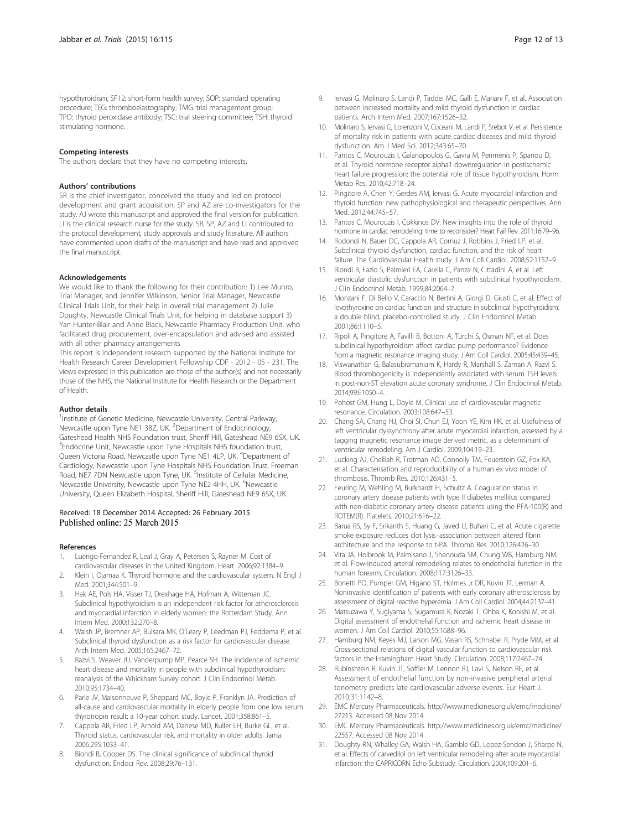<span id="page-11-0"></span>hypothyroidism; SF12: short-form health survey; SOP: standard operating procedure; TEG: thromboelastography; TMG: trial management group; TPO: thyroid peroxidase antibody; TSC: trial steering committee; TSH: thyroid stimulating hormone.

#### Competing interests

The authors declare that they have no competing interests.

#### Authors' contributions

SR is the chief investigator, conceived the study and led on protocol development and grant acquisition. SP and AZ are co-investigators for the study. AJ wrote this manuscript and approved the final version for publication. LI is the clinical research nurse for the study. SR, SP, AZ and LI contributed to the protocol development, study approvals and study literature. All authors have commented upon drafts of the manuscript and have read and approved the final manuscript.

#### Acknowledgements

We would like to thank the following for their contribution: 1) Lee Munro, Trial Manager, and Jennifer Wilkinson, Senior Trial Manager, Newcastle Clinical Trials Unit, for their help in overall trial management 2) Julie Doughty, Newcastle Clinical Trials Unit, for helping in database support 3) Yan Hunter-Blair and Anne Black, Newcastle Pharmacy Production Unit. who facilitated drug procurement, over-encapsulation and advised and assisted with all other pharmacy arrangements

This report is independent research supported by the National Institute for Health Research Career Development Fellowship CDF - 2012 - 05 - 231. The views expressed in this publication are those of the author(s) and not necessarily those of the NHS, the National Institute for Health Research or the Department of Health.

#### Author details

<sup>1</sup>Institute of Genetic Medicine, Newcastle University, Central Parkway, Newcastle upon Tyne NE1 3BZ, UK. <sup>2</sup>Department of Endocrinology, Gateshead Health NHS Foundation trust, Sheriff Hill, Gateshead NE9 6SX, UK. <sup>3</sup> Endocrine Unit, Newcastle upon Tyne Hospitals NHS foundation trust, Queen Victoria Road, Newcastle upon Tyne NE1 4LP, UK. <sup>4</sup>Department of Cardiology, Newcastle upon Tyne Hospitals NHS Foundation Trust, Freeman Road, NE7 7DN Newcastle upon Tyne, UK. <sup>5</sup>Institute of Cellular Medicine, Newcastle University, Newcastle upon Tyne NE2 4HH, UK. <sup>6</sup>Newcastle University, Queen Elizabeth Hospital, Sheriff Hill, Gateshead NE9 6SX, UK.

#### Received: 18 December 2014 Accepted: 26 February 2015 Published online: 25 March 2015

#### References

- 1. Luengo-Fernandez R, Leal J, Gray A, Petersen S, Rayner M. Cost of cardiovascular diseases in the United Kingdom. Heart. 2006;92:1384–9.
- 2. Klein I, Ojamaa K. Thyroid hormone and the cardiovascular system. N Engl J Med. 2001;344:501–9.
- 3. Hak AE, Pols HA, Visser TJ, Drexhage HA, Hofman A, Witteman JC. Subclinical hypothyroidism is an independent risk factor for atherosclerosis and myocardial infarction in elderly women: the Rotterdam Study. Ann Intern Med. 2000;132:270–8.
- 4. Walsh JP, Bremner AP, Bulsara MK, O'Leary P, Leedman PJ, Feddema P, et al. Subclinical thyroid dysfunction as a risk factor for cardiovascular disease. Arch Intern Med. 2005;165:2467–72.
- 5. Razvi S, Weaver JU, Vanderpump MP, Pearce SH. The incidence of ischemic heart disease and mortality in people with subclinical hypothyroidism: reanalysis of the Whickham Survey cohort. J Clin Endocrinol Metab. 2010;95:1734–40.
- 6. Parle JV, Maisonneuve P, Sheppard MC, Boyle P, Franklyn JA. Prediction of all-cause and cardiovascular mortality in elderly people from one low serum thyrotropin result: a 10-year cohort study. Lancet. 2001;358:861–5.
- 7. Cappola AR, Fried LP, Arnold AM, Danese MD, Kuller LH, Burke GL, et al. Thyroid status, cardiovascular risk, and mortality in older adults. Jama. 2006;295:1033–41.
- 8. Biondi B, Cooper DS. The clinical significance of subclinical thyroid dysfunction. Endocr Rev. 2008;29:76–131.
- 9. Iervasi G, Molinaro S, Landi P, Taddei MC, Galli E, Mariani F, et al. Association between increased mortality and mild thyroid dysfunction in cardiac patients. Arch Intern Med. 2007;167:1526–32.
- 10. Molinaro S, Iervasi G, Lorenzoni V, Coceani M, Landi P, Srebot V, et al. Persistence of mortality risk in patients with acute cardiac diseases and mild thyroid dysfunction. Am J Med Sci. 2012;343:65–70.
- 11. Pantos C, Mourouzis I, Galanopoulos G, Gavra M, Perimenis P, Spanou D, et al. Thyroid hormone receptor alpha1 downregulation in postischemic heart failure progression: the potential role of tissue hypothyroidism. Horm Metab Res. 2010;42:718–24.
- 12. Pingitore A, Chen Y, Gerdes AM, Iervasi G. Acute myocardial infarction and thyroid function: new pathophysiological and therapeutic perspectives. Ann Med. 2012;44:745–57.
- 13. Pantos C, Mourouzis I, Cokkinos DV. New insights into the role of thyroid hormone in cardiac remodeling: time to reconsider? Heart Fail Rev. 2011;16:79–96.
- 14. Rodondi N, Bauer DC, Cappola AR, Cornuz J, Robbins J, Fried LP, et al. Subclinical thyroid dysfunction, cardiac function, and the risk of heart failure. The Cardiovascular Health study. J Am Coll Cardiol. 2008;52:1152–9.
- 15. Biondi B, Fazio S, Palmieri EA, Carella C, Panza N, Cittadini A, et al. Left ventricular diastolic dysfunction in patients with subclinical hypothyroidism. J Clin Endocrinol Metab. 1999;84:2064–7.
- 16. Monzani F, Di Bello V, Caraccio N, Bertini A, Giorgi D, Giusti C, et al. Effect of levothyroxine on cardiac function and structure in subclinical hypothyroidism: a double blind, placebo-controlled study. J Clin Endocrinol Metab. 2001;86:1110–5.
- 17. Ripoli A, Pingitore A, Favilli B, Bottoni A, Turchi S, Osman NF, et al. Does subclinical hypothyroidism affect cardiac pump performance? Evidence from a magnetic resonance imaging study. J Am Coll Cardiol. 2005;45:439–45.
- 18. Viswanathan G, Balasubramaniam K, Hardy R, Marshall S, Zaman A, Razvi S. Blood thrombogenicity is independently associated with serum TSH levels in post-non-ST elevation acute coronary syndrome. J Clin Endocrinol Metab. 2014;99:E1050–4.
- 19. Pohost GM, Hung L, Doyle M. Clinical use of cardiovascular magnetic resonance. Circulation. 2003;108:647–53.
- 20. Chang SA, Chang HJ, Choi SI, Chun EJ, Yoon YE, Kim HK, et al. Usefulness of left ventricular dyssynchrony after acute myocardial infarction, assessed by a tagging magnetic resonance image derived metric, as a determinant of ventricular remodeling. Am J Cardiol. 2009;104:19–23.
- 21. Lucking AJ, Chelliah R, Trotman AD, Connolly TM, Feuerstein GZ, Fox KA, et al. Characterisation and reproducibility of a human ex vivo model of thrombosis. Thromb Res. 2010;126:431–5.
- 22. Feuring M, Wehling M, Burkhardt H, Schultz A. Coagulation status in coronary artery disease patients with type II diabetes mellitus compared with non-diabetic coronary artery disease patients using the PFA-100(R) and ROTEM(R). Platelets. 2010;21:616–22.
- 23. Barua RS, Sy F, Srikanth S, Huang G, Javed U, Buhari C, et al. Acute cigarette smoke exposure reduces clot lysis–association between altered fibrin architecture and the response to t-PA. Thromb Res. 2010;126:426–30.
- 24. Vita JA, Holbrook M, Palmisano J, Shenouda SM, Chung WB, Hamburg NM, et al. Flow-induced arterial remodeling relates to endothelial function in the human forearm. Circulation. 2008;117:3126–33.
- 25. Bonetti PO, Pumper GM, Higano ST, Holmes Jr DR, Kuvin JT, Lerman A. Noninvasive identification of patients with early coronary atherosclerosis by assessment of digital reactive hyperemia. J Am Coll Cardiol. 2004;44:2137–41.
- 26. Matsuzawa Y, Sugiyama S, Sugamura K, Nozaki T, Ohba K, Konishi M, et al. Digital assessment of endothelial function and ischemic heart disease in women. J Am Coll Cardiol. 2010;55:1688–96.
- 27. Hamburg NM, Keyes MJ, Larson MG, Vasan RS, Schnabel R, Pryde MM, et al. Cross-sectional relations of digital vascular function to cardiovascular risk factors in the Framingham Heart Study. Circulation. 2008;117:2467–74.
- 28. Rubinshtein R, Kuvin JT, Soffler M, Lennon RJ, Lavi S, Nelson RE, et al. Assessment of endothelial function by non-invasive peripheral arterial tonometry predicts late cardiovascular adverse events. Eur Heart J. 2010;31:1142–8.
- 29. EMC Mercury Pharmaceuticals. [http://www.medicines.org.uk/emc/medicine/](http://www.medicines.org.uk/emc/medicine/27213) [27213.](http://www.medicines.org.uk/emc/medicine/27213) Accessed 08 Nov 2014.
- 30. EMC Mercury Pharmaceuticals. [http://www.medicines.org.uk/emc/medicine/](http://www.medicines.org.uk/emc/medicine/22557) [22557.](http://www.medicines.org.uk/emc/medicine/22557) Accessed 08 Nov 2014
- 31. Doughty RN, Whalley GA, Walsh HA, Gamble GD, Lopez-Sendon J, Sharpe N, et al. Effects of carvedilol on left ventricular remodeling after acute myocardial infarction: the CAPRICORN Echo Substudy. Circulation. 2004;109:201–6.